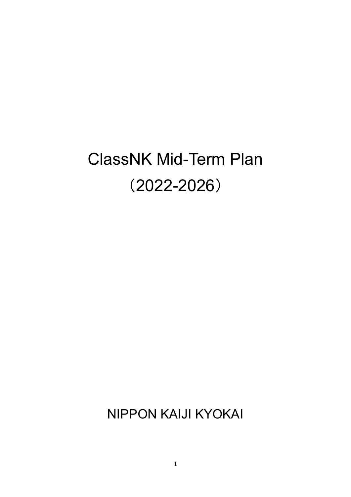# ClassNK Mid-Term Plan (2022-2026)

NIPPON KAIJI KYOKAI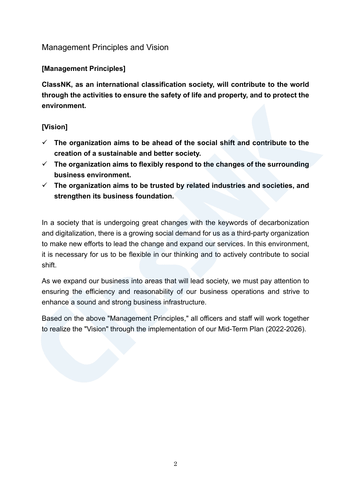## Management Principles and Vision

## **[Management Principles]**

**ClassNK, as an international classification society, will contribute to the world through the activities to ensure the safety of life and property, and to protect the environment.**

## **[Vision]**

- **The organization aims to be ahead of the social shift and contribute to the creation of a sustainable and better society.**
- **The organization aims to flexibly respond to the changes of the surrounding business environment.**
- **The organization aims to be trusted by related industries and societies, and strengthen its business foundation.**

In a society that is undergoing great changes with the keywords of decarbonization and digitalization, there is a growing social demand for us as a third-party organization to make new efforts to lead the change and expand our services. In this environment, it is necessary for us to be flexible in our thinking and to actively contribute to social shift.

As we expand our business into areas that will lead society, we must pay attention to ensuring the efficiency and reasonability of our business operations and strive to enhance a sound and strong business infrastructure.

Based on the above "Management Principles," all officers and staff will work together to realize the "Vision" through the implementation of our Mid-Term Plan (2022-2026).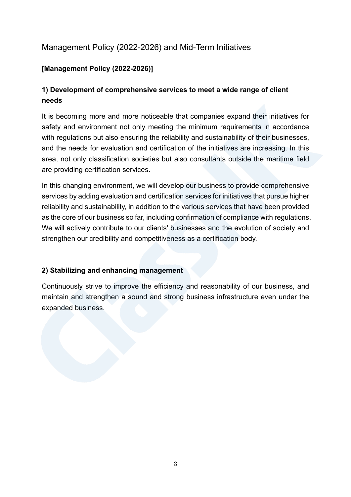# Management Policy (2022-2026) and Mid-Term Initiatives

## **[Management Policy (2022-2026)]**

## **1) Development of comprehensive services to meet a wide range of client needs**

It is becoming more and more noticeable that companies expand their initiatives for safety and environment not only meeting the minimum requirements in accordance with regulations but also ensuring the reliability and sustainability of their businesses, and the needs for evaluation and certification of the initiatives are increasing. In this area, not only classification societies but also consultants outside the maritime field are providing certification services.

In this changing environment, we will develop our business to provide comprehensive services by adding evaluation and certification services for initiatives that pursue higher reliability and sustainability, in addition to the various services that have been provided as the core of our business so far, including confirmation of compliance with regulations. We will actively contribute to our clients' businesses and the evolution of society and strengthen our credibility and competitiveness as a certification body.

#### **2) Stabilizing and enhancing management**

Continuously strive to improve the efficiency and reasonability of our business, and maintain and strengthen a sound and strong business infrastructure even under the expanded business.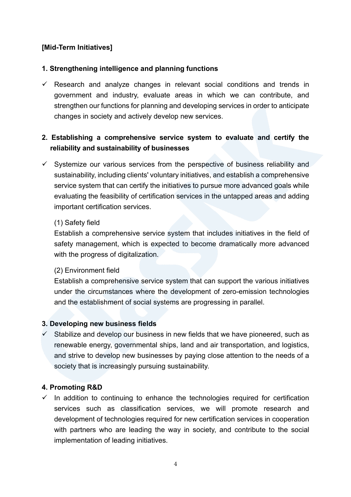## **[Mid-Term Initiatives]**

## **1. Strengthening intelligence and planning functions**

 $\checkmark$  Research and analyze changes in relevant social conditions and trends in government and industry, evaluate areas in which we can contribute, and strengthen our functions for planning and developing services in order to anticipate changes in society and actively develop new services.

## **2. Establishing a comprehensive service system to evaluate and certify the reliability and sustainability of businesses**

 $\checkmark$  Systemize our various services from the perspective of business reliability and sustainability, including clients' voluntary initiatives, and establish a comprehensive service system that can certify the initiatives to pursue more advanced goals while evaluating the feasibility of certification services in the untapped areas and adding important certification services.

#### (1) Safety field

Establish a comprehensive service system that includes initiatives in the field of safety management, which is expected to become dramatically more advanced with the progress of digitalization.

#### (2) Environment field

Establish a comprehensive service system that can support the various initiatives under the circumstances where the development of zero-emission technologies and the establishment of social systems are progressing in parallel.

#### **3. Developing new business fields**

 $\checkmark$  Stabilize and develop our business in new fields that we have pioneered, such as renewable energy, governmental ships, land and air transportation, and logistics, and strive to develop new businesses by paying close attention to the needs of a society that is increasingly pursuing sustainability.

#### **4. Promoting R&D**

 $\checkmark$  In addition to continuing to enhance the technologies required for certification services such as classification services, we will promote research and development of technologies required for new certification services in cooperation with partners who are leading the way in society, and contribute to the social implementation of leading initiatives.